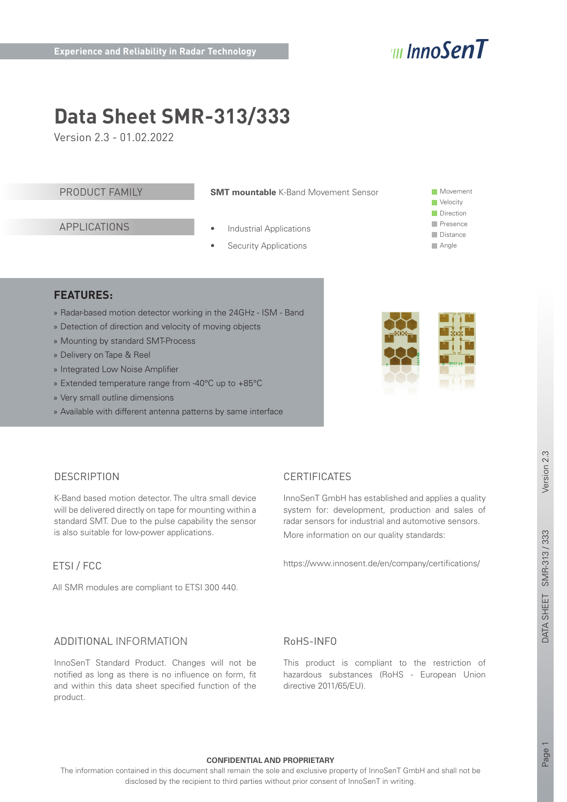# vul InnoSenT

# **Data Sheet SMR-313/333**

Version 2.3 - 01.02.2022

## PRODUCT FAMILY

**SMT mountable** K-Band Movement Sensor

APPLICATIONS

### **Industrial Applications**

**Security Applications** 

**Movement Velocity Direction Presence Distance** Angle

## **FEATURES:**

- » Radar-based motion detector working in the 24GHz ISM Band
- » Detection of direction and velocity of moving objects
- » Mounting by standard SMT-Process
- » Delivery on Tape & Reel
- » Integrated Low Noise Amplifier
- » Extended temperature range from -40°C up to +85°C
- » Very small outline dimensions
- » Available with different antenna patterns by same interface



## **DESCRIPTION**

K-Band based motion detector. The ultra small device will be delivered directly on tape for mounting within a standard SMT. Due to the pulse capability the sensor is also suitable for low-power applications.

## ETSI / FCC

All SMR modules are compliant to ETSI 300 440.

# **CERTIFICATES**

InnoSenT GmbH has established and applies a quality system for: development, production and sales of radar sensors for industrial and automotive sensors. More information on our quality standards:

https://www.innosent.de/en/company/certifications/

## ADDITIONAL INFORMATION

InnoSenT Standard Product. Changes will not be notified as long as there is no influence on form, fit and within this data sheet specified function of the product.

# RoHS-INFO

This product is compliant to the restriction of hazardous substances (RoHS - European Union directive 2011/65/EU).

#### **CONFIDENTIAL AND PROPRIETARY**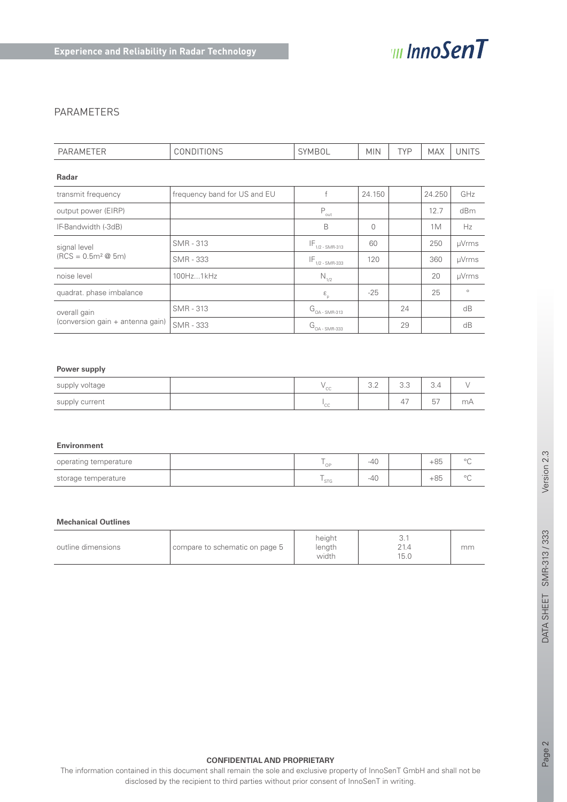

## PARAMETERS

| <b>PARAMETER</b>                       | <b>CONDITIONS</b>            | <b>SYMBOL</b>                                       | <b>MIN</b>   | <b>TYP</b> | <b>MAX</b> | <b>UNITS</b> |
|----------------------------------------|------------------------------|-----------------------------------------------------|--------------|------------|------------|--------------|
| <b>Radar</b>                           |                              |                                                     |              |            |            |              |
| transmit frequency                     | frequency band for US and EU | f                                                   | 24.150       |            | 24.250     | GHz          |
| output power (EIRP)                    |                              | $P_{\text{out}}$                                    |              |            | 12.7       | dBm          |
| IF-Bandwidth (-3dB)                    |                              | B                                                   | $\mathbf{0}$ |            | 1M         | Hz           |
| signal level<br>$(RCS = 0.5m^2 \& 5m)$ | <b>SMR - 313</b>             | $IF_{1/2-SMR-313}$                                  | 60           |            | 250        | µVrms        |
|                                        | SMR - 333                    | $\mathsf{IF}_{\mathsf{1/2}\operatorname{-SMR-333}}$ | 120          |            | 360        | µVrms        |
| noise level                            | 100Hz1kHz                    | $N_{1/2}$                                           |              |            | 20         | µVrms        |
| quadrat. phase imbalance               |                              | $\boldsymbol{\epsilon}_{_{\rm p}}$                  | $-25$        |            | 25         | $\circ$      |
| overall gain                           | SMR - 313                    | $G_{_{OA}}$ - SMR-313                               |              | 24         |            | dB           |
| (conversion gain + antenna gain)       | <b>SMR - 333</b>             | $G_{_{OA + SMR-333}}$                               |              | 29         |            | dB           |

### **Power supply**

| supply voltage | $\mathbf{v}$ $\sim$<br>しし | $\cap$ $\cap$<br>$\cup$ . $\subset$ | $\cap$ $\cap$<br>$\cup$ . $\cup$ | $\sim$<br>∪.4  |    |
|----------------|---------------------------|-------------------------------------|----------------------------------|----------------|----|
| supply current | $\sim$<br>しし              |                                     | $\overline{A}$<br>↵              | 57<br>$\cup$ . | mA |

#### **Environment**

| operating temperature | $\sim$<br>$\cap$     | $-40$ | $+85$ | $\cap$        |
|-----------------------|----------------------|-------|-------|---------------|
| storage temperature   | $\sim$<br><b>STG</b> | $-40$ | $+85$ | $\sim$ $\sim$ |

#### **Mechanical Outlines**

| outline dimensions | compare to schematic on page 5 | height<br>length<br>width | ◡.<br>15.0 | mm |
|--------------------|--------------------------------|---------------------------|------------|----|
|--------------------|--------------------------------|---------------------------|------------|----|

#### **CONFIDENTIAL AND PROPRIETARY**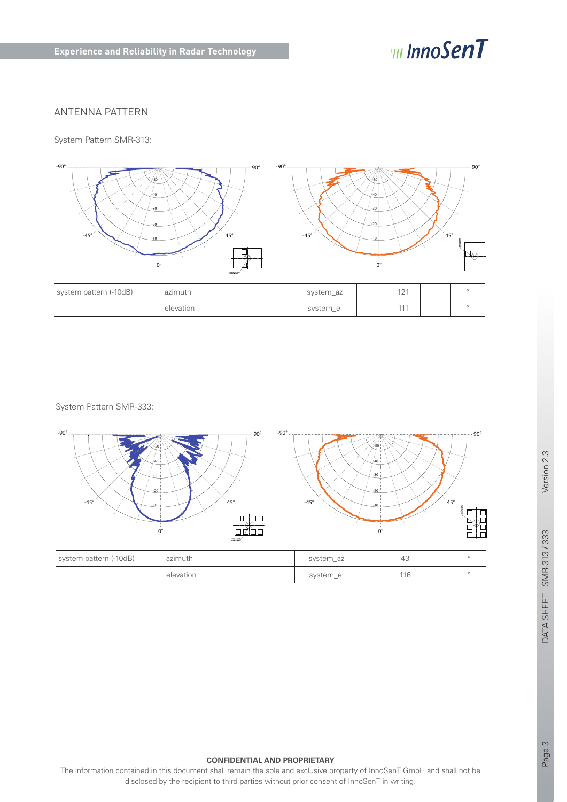# *III InnoSenT*

## ANTENNA PATTERN

System Pattern SMR-313:



System Pattern SMR-333:



Version 2.3

DATA SHEET SMR-313 / 333

#### **CONFIDENTIAL AND PROPRIETARY**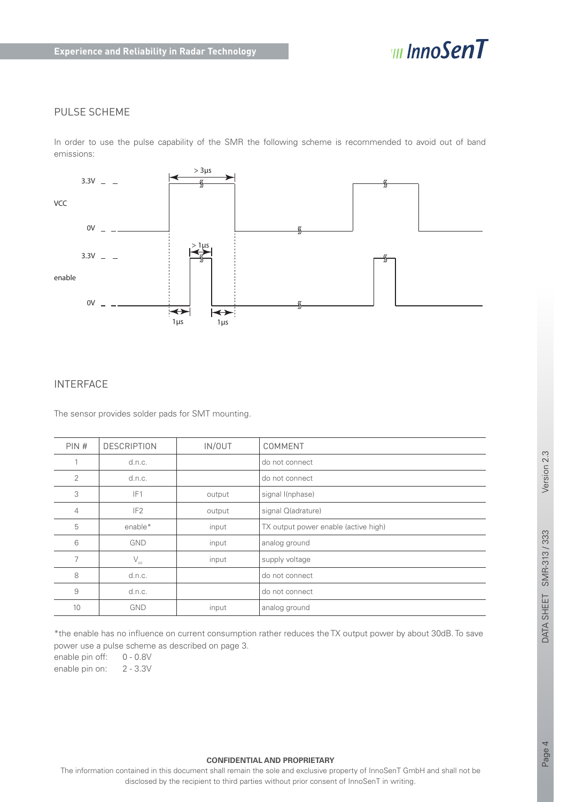

## PULSE SCHEME

In order to use the pulse capability of the SMR the following scheme is recommended to avoid out of band emissions:



## INTERFACE

The sensor provides solder pads for SMT mounting.

| PIN# | <b>DESCRIPTION</b> | IN/OUT | COMMENT                              |
|------|--------------------|--------|--------------------------------------|
|      | d.n.c.             |        | do not connect                       |
| 2    | d.n.c.             |        | do not connect                       |
| 3    | IF <sub>1</sub>    | output | signal I(nphase)                     |
| 4    | IF <sub>2</sub>    | output | signal Q(adrature)                   |
| 5    | enable*            | input  | TX output power enable (active high) |
| 6    | <b>GND</b>         | input  | analog ground                        |
| 7    | $\rm V_{cc}$       | input  | supply voltage                       |
| 8    | d.n.c.             |        | do not connect                       |
| 9    | d.n.c.             |        | do not connect                       |
| 10   | <b>GND</b>         | input  | analog ground                        |

\*the enable has no influence on current consumption rather reduces the TX output power by about 30dB. To save power use a pulse scheme as described on page 3.

enable pin off: 0 - 0.8V

enable pin on: 2 - 3.3V

#### **CONFIDENTIAL AND PROPRIETARY**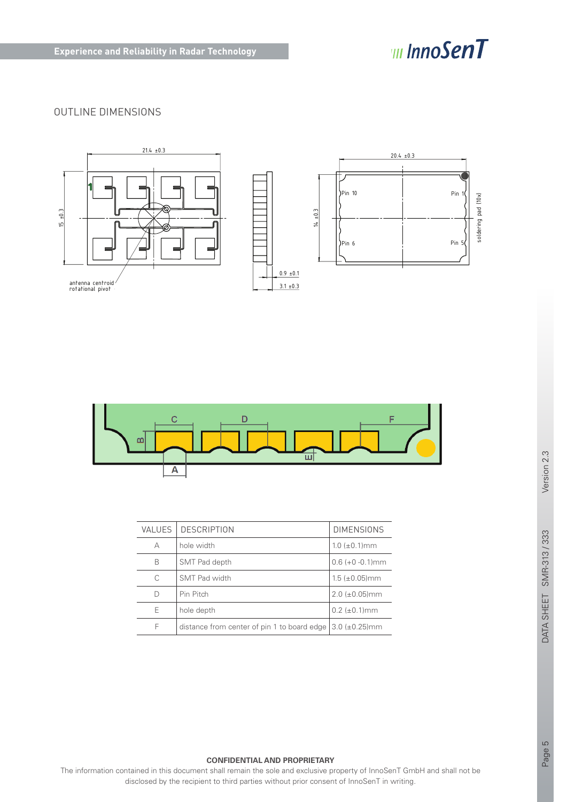

# OUTLINE DIMENSIONS





| <b>VALUES</b> | <b>DESCRIPTION</b>                                              | <b>DIMENSIONS</b>     |
|---------------|-----------------------------------------------------------------|-----------------------|
| А             | hole width                                                      | $1.0~(\pm 0.1)$ mm    |
| B             | SMT Pad depth                                                   | $0.6 (+0 - 0.1)$ mm   |
| C             | SMT Pad width                                                   | $1.5 \ (\pm 0.05)$ mm |
| D             | Pin Pitch                                                       | $2.0 \ (\pm 0.05)$ mm |
| E             | hole depth                                                      | $0.2$ ( $\pm$ 0.1) mm |
| F             | distance from center of pin 1 to board edge $(3.0 \pm 0.25)$ mm |                       |

#### **CONFIDENTIAL AND PROPRIETARY**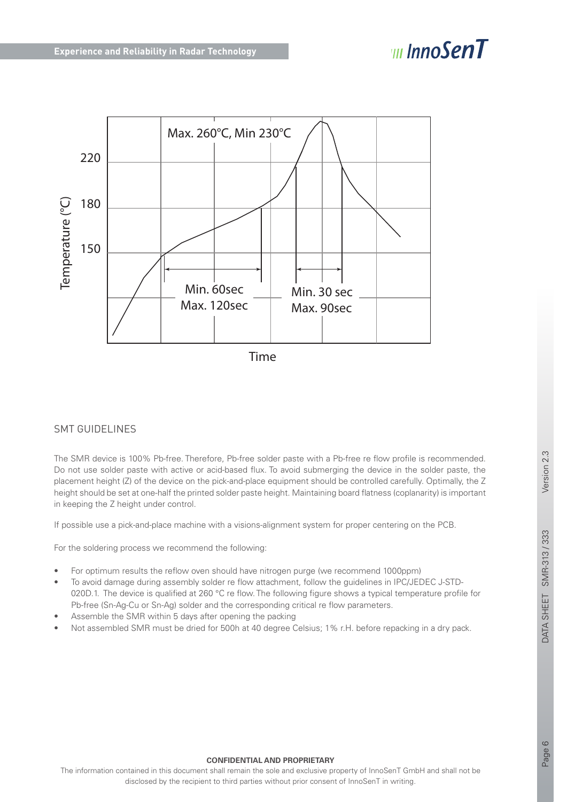# $\Box$  InnoSenT



## SMT GUIDELINES

The SMR device is 100% Pb-free. Therefore, Pb-free solder paste with a Pb-free re flow profile is recommended. Do not use solder paste with active or acid-based flux. To avoid submerging the device in the solder paste, the placement height (Z) of the device on the pick-and-place equipment should be controlled carefully. Optimally, the Z height should be set at one-half the printed solder paste height. Maintaining board flatness (coplanarity) is important in keeping the Z height under control.

If possible use a pick-and-place machine with a visions-alignment system for proper centering on the PCB.

For the soldering process we recommend the following:

- For optimum results the reflow oven should have nitrogen purge (we recommend 1000ppm)
- To avoid damage during assembly solder re flow attachment, follow the guidelines in IPC/JEDEC J-STD-020D.1. The device is qualified at 260 °C re flow. The following figure shows a typical temperature profile for Pb-free (Sn-Ag-Cu or Sn-Ag) solder and the corresponding critical re flow parameters.
- Assemble the SMR within 5 days after opening the packing
- Not assembled SMR must be dried for 500h at 40 degree Celsius; 1% r.H. before repacking in a dry pack.

#### **CONFIDENTIAL AND PROPRIETARY**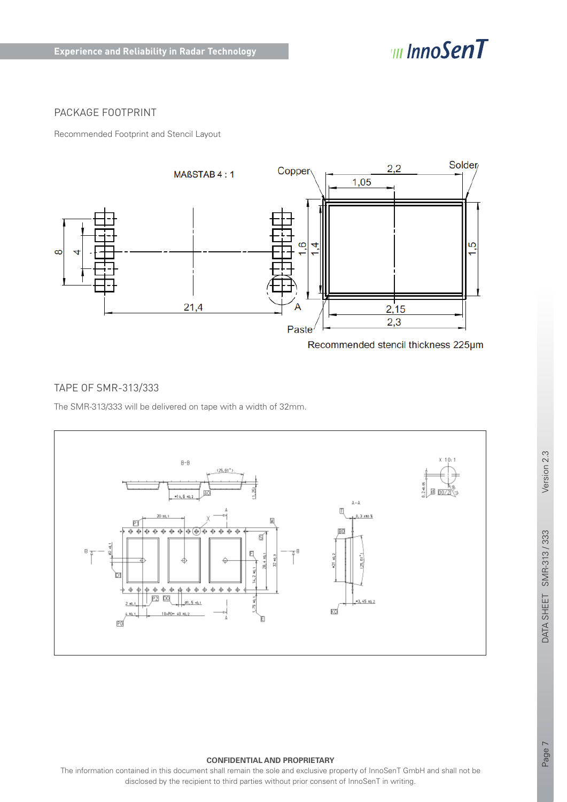

## PACKAGE FOOTPRINT

Recommended Footprint and Stencil Layout



Recommended stencil thickness 225um

## TAPE OF SMR-313/333

The SMR-313/333 will be delivered on tape with a width of 32mm.



### **CONFIDENTIAL AND PROPRIETARY**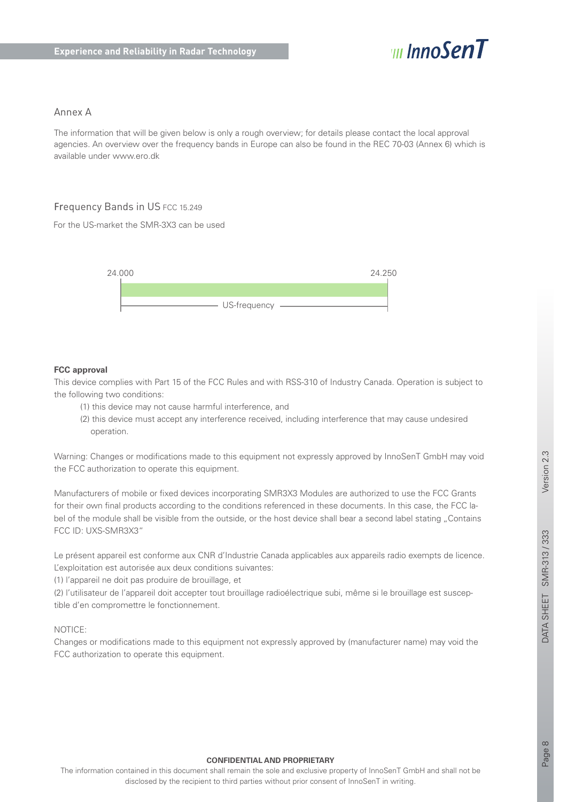

## Annex A

The information that will be given below is only a rough overview; for details please contact the local approval agencies. An overview over the frequency bands in Europe can also be found in the REC 70-03 (Annex 6) which is available under www.ero.dk

## Frequency Bands in US FCC 15.249

For the US-market the SMR-3X3 can be used



### **FCC approval**

This device complies with Part 15 of the FCC Rules and with RSS-310 of Industry Canada. Operation is subject to the following two conditions:

- (1) this device may not cause harmful interference, and
- (2) this device must accept any interference received, including interference that may cause undesired operation.

Warning: Changes or modifications made to this equipment not expressly approved by InnoSenT GmbH may void the FCC authorization to operate this equipment.

Manufacturers of mobile or fixed devices incorporating SMR3X3 Modules are authorized to use the FCC Grants for their own final products according to the conditions referenced in these documents. In this case, the FCC label of the module shall be visible from the outside, or the host device shall bear a second label stating "Contains FCC ID: UXS-SMR3X3"

Le présent appareil est conforme aux CNR d'Industrie Canada applicables aux appareils radio exempts de licence. L'exploitation est autorisée aux deux conditions suivantes:

(1) l'appareil ne doit pas produire de brouillage, et

(2) l'utilisateur de l'appareil doit accepter tout brouillage radioélectrique subi, même si le brouillage est susceptible d'en compromettre le fonctionnement.

#### NOTICE:

Changes or modifications made to this equipment not expressly approved by (manufacturer name) may void the FCC authorization to operate this equipment.

#### **CONFIDENTIAL AND PROPRIETARY**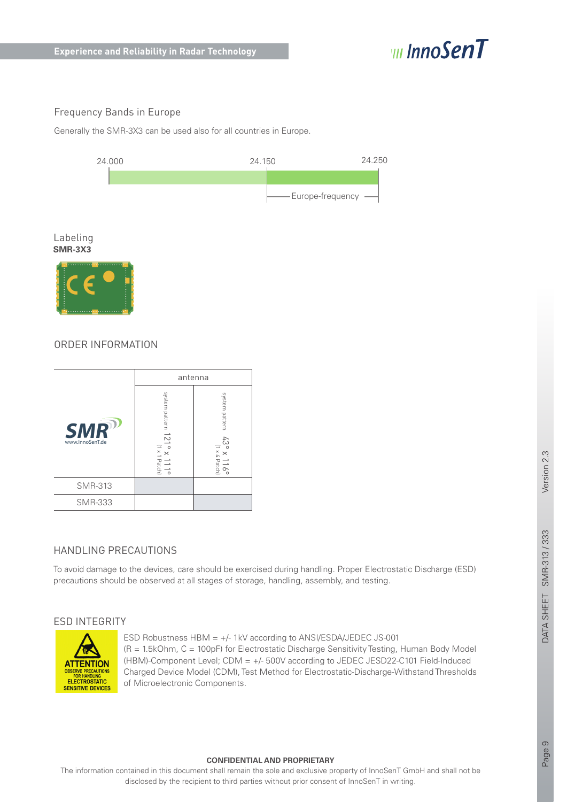

# Frequency Bands in Europe

Generally the SMR-3X3 can be used also for all countries in Europe.



#### Labeling **SMR-3X3**



# ORDER INFORMATION

|                               | antenna                                                                         |                                           |
|-------------------------------|---------------------------------------------------------------------------------|-------------------------------------------|
| <b>SMR</b><br>www.InnoSenT.de | system pattern 121°<br>$\hbox{I}\times\hbox{I}$<br>$\times$<br>111 <sup>o</sup> | system pattern<br>43<br>9° x 116°<br>118° |
| <b>SMR-313</b>                |                                                                                 |                                           |
| <b>SMR-333</b>                |                                                                                 |                                           |

# HANDLING PRECAUTIONS

To avoid damage to the devices, care should be exercised during handling. Proper Electrostatic Discharge (ESD) precautions should be observed at all stages of storage, handling, assembly, and testing.

## ESD INTEGRITY



ESD Robustness  $HBM = +/-1kV$  according to ANSI/ESDA/JEDEC JS-001 (R = 1.5kOhm, C = 100pF) for Electrostatic Discharge Sensitivity Testing, Human Body Model (HBM)-Component Level; CDM = +/- 500V according to JEDEC JESD22-C101 Field-Induced Charged Device Model (CDM), Test Method for Electrostatic-Discharge-Withstand Thresholds of Microelectronic Components.

#### **CONFIDENTIAL AND PROPRIETARY**